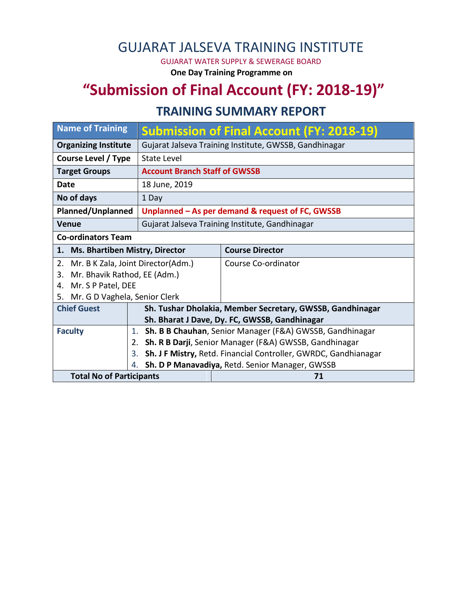## GUJARAT JALSEVA TRAINING INSTITUTE

GUJARAT WATER SUPPLY & SEWERAGE BOARD

**One Day Training Programme on**

# **"Submission of Final Account (FY: 2018-19)"**

#### **TRAINING SUMMARY REPORT**

| <b>Name of Training</b>                  |                                                              | <b>Submission of Final Account (FY: 2018-19)</b>                |  |  |  |  |
|------------------------------------------|--------------------------------------------------------------|-----------------------------------------------------------------|--|--|--|--|
| <b>Organizing Institute</b>              |                                                              | Gujarat Jalseva Training Institute, GWSSB, Gandhinagar          |  |  |  |  |
| Course Level / Type                      | State Level                                                  |                                                                 |  |  |  |  |
| <b>Target Groups</b>                     | <b>Account Branch Staff of GWSSB</b>                         |                                                                 |  |  |  |  |
| Date                                     | 18 June, 2019                                                |                                                                 |  |  |  |  |
| No of days                               | 1 Day                                                        |                                                                 |  |  |  |  |
| <b>Planned/Unplanned</b>                 | Unplanned - As per demand & request of FC, GWSSB             |                                                                 |  |  |  |  |
| <b>Venue</b>                             |                                                              | Gujarat Jalseva Training Institute, Gandhinagar                 |  |  |  |  |
| <b>Co-ordinators Team</b>                |                                                              |                                                                 |  |  |  |  |
| 1. Ms. Bhartiben Mistry, Director        |                                                              | <b>Course Director</b>                                          |  |  |  |  |
| Mr. B K Zala, Joint Director(Adm.)<br>2. |                                                              | Course Co-ordinator                                             |  |  |  |  |
| Mr. Bhavik Rathod, EE (Adm.)<br>3.       |                                                              |                                                                 |  |  |  |  |
| Mr. S P Patel, DEE<br>4.                 |                                                              |                                                                 |  |  |  |  |
| Mr. G D Vaghela, Senior Clerk<br>5.      |                                                              |                                                                 |  |  |  |  |
| <b>Chief Guest</b>                       | Sh. Tushar Dholakia, Member Secretary, GWSSB, Gandhinagar    |                                                                 |  |  |  |  |
|                                          | Sh. Bharat J Dave, Dy. FC, GWSSB, Gandhinagar                |                                                                 |  |  |  |  |
| <b>Faculty</b>                           | 1.                                                           | Sh. B B Chauhan, Senior Manager (F&A) GWSSB, Gandhinagar        |  |  |  |  |
|                                          | Sh. R B Darji, Senior Manager (F&A) GWSSB, Gandhinagar<br>2. |                                                                 |  |  |  |  |
|                                          | 3.                                                           | Sh. J F Mistry, Retd. Financial Controller, GWRDC, Gandhianagar |  |  |  |  |
|                                          | Sh. D P Manavadiya, Retd. Senior Manager, GWSSB<br>4.        |                                                                 |  |  |  |  |
| <b>Total No of Participants</b>          |                                                              | 71                                                              |  |  |  |  |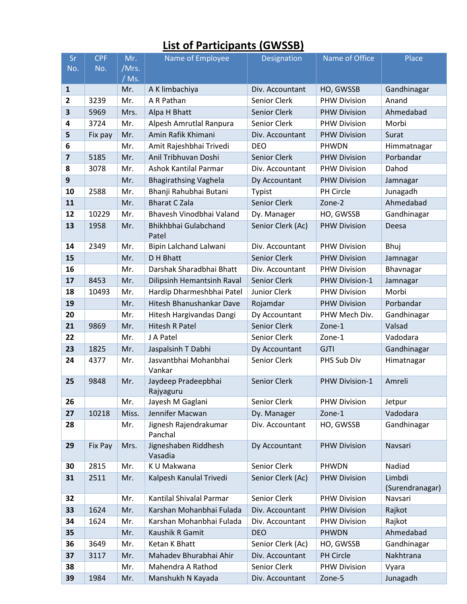### **List of Participants (GWSSB)**

| Sr                      | <b>CPF</b> | Mr.   | Name of Employee                 | Designation         | Name of Office      | Place                     |
|-------------------------|------------|-------|----------------------------------|---------------------|---------------------|---------------------------|
| No.                     | No.        | /Mrs. |                                  |                     |                     |                           |
|                         |            | / Ms. |                                  |                     |                     |                           |
| $\mathbf{1}$            |            | Mr.   | A K limbachiya                   | Div. Accountant     | HO, GWSSB           | Gandhinagar               |
| $\overline{\mathbf{2}}$ | 3239       | Mr.   | A R Pathan                       | Senior Clerk        | <b>PHW Division</b> | Anand                     |
| 3                       | 5969       | Mrs.  | Alpa H Bhatt                     | Senior Clerk        | <b>PHW Division</b> | Ahmedabad                 |
| 4                       | 3724       | Mr.   | Alpesh Amrutlal Ranpura          | Senior Clerk        | <b>PHW Division</b> | Morbi                     |
| 5                       | Fix pay    | Mr.   | Amin Rafik Khimani               | Div. Accountant     | <b>PHW Division</b> | Surat                     |
| 6                       |            | Mr.   | Amit Rajeshbhai Trivedi          | <b>DEO</b>          | PHWDN               | Himmatnagar               |
| $\overline{\mathbf{z}}$ | 5185       | Mr.   | Anil Tribhuvan Doshi             | Senior Clerk        | <b>PHW Division</b> | Porbandar                 |
| 8                       | 3078       | Mr.   | Ashok Kantilal Parmar            | Div. Accountant     | <b>PHW Division</b> | Dahod                     |
| 9                       |            | Mr.   | <b>Bhagirathsing Vaghela</b>     | Dy Accountant       | <b>PHW Division</b> | Jamnagar                  |
| 10                      | 2588       | Mr.   | Bhanji Rahubhai Butani           | Typist              | PH Circle           | Junagadh                  |
| 11                      |            | Mr.   | <b>Bharat C Zala</b>             | Senior Clerk        | Zone-2              | Ahmedabad                 |
| 12                      | 10229      | Mr.   | Bhavesh Vinodbhai Valand         | Dy. Manager         | HO, GWSSB           | Gandhinagar               |
| 13                      | 1958       | Mr.   | Bhikhbhai Gulabchand<br>Patel    | Senior Clerk (Ac)   | <b>PHW Division</b> | Deesa                     |
| 14                      | 2349       | Mr.   | Bipin Lalchand Lalwani           | Div. Accountant     | <b>PHW Division</b> | Bhuj                      |
| 15                      |            | Mr.   | D H Bhatt                        | Senior Clerk        | <b>PHW Division</b> | Jamnagar                  |
| 16                      |            | Mr.   | Darshak Sharadbhai Bhatt         | Div. Accountant     | <b>PHW Division</b> | Bhavnagar                 |
| 17                      | 8453       | Mr.   | Dilipsinh Hemantsinh Raval       | Senior Clerk        | PHW Division-1      | Jamnagar                  |
| 18                      | 10493      | Mr.   | Hardip Dharmeshbhai Patel        | <b>Junior Clerk</b> | <b>PHW Division</b> | Morbi                     |
| 19                      |            | Mr.   | Hitesh Bhanushankar Dave         | Rojamdar            | <b>PHW Division</b> | Porbandar                 |
| 20                      |            | Mr.   | Hitesh Hargivandas Dangi         | Dy Accountant       | PHW Mech Div.       | Gandhinagar               |
| 21                      | 9869       | Mr.   | <b>Hitesh R Patel</b>            | <b>Senior Clerk</b> | Zone-1              | Valsad                    |
| 22                      |            | Mr.   | J A Patel                        | Senior Clerk        | Zone-1              | Vadodara                  |
| 23                      | 1825       | Mr.   | Jaspalsinh T Dabhi               | Dy Accountant       | <b>GJTI</b>         | Gandhinagar               |
| 24                      | 4377       | Mr.   | Jasvantbhai Mohanbhai<br>Vankar  | Senior Clerk        | PHS Sub Div         | Himatnagar                |
| 25                      | 9848       | Mr.   | Jaydeep Pradeepbhai<br>Rajyaguru | <b>Senior Clerk</b> | PHW Division-1      | Amreli                    |
| 26                      |            | Mr.   | Jayesh M Gaglani                 | Senior Clerk        | <b>PHW Division</b> | Jetpur                    |
| 27                      | 10218      | Miss. | Jennifer Macwan                  | Dy. Manager         | Zone-1              | Vadodara                  |
| 28                      |            | Mr.   | Jignesh Rajendrakumar<br>Panchal | Div. Accountant     | HO, GWSSB           | Gandhinagar               |
| 29                      | Fix Pay    | Mrs.  | Jigneshaben Riddhesh<br>Vasadia  | Dy Accountant       | <b>PHW Division</b> | Navsari                   |
| 30                      | 2815       | Mr.   | K U Makwana                      | Senior Clerk        | PHWDN               | Nadiad                    |
| 31                      | 2511       | Mr.   | Kalpesh Kanulal Trivedi          | Senior Clerk (Ac)   | <b>PHW Division</b> | Limbdi<br>(Surendranagar) |
| 32                      |            | Mr.   | Kantilal Shivalal Parmar         | Senior Clerk        | <b>PHW Division</b> | Navsari                   |
| 33                      | 1624       | Mr.   | Karshan Mohanbhai Fulada         | Div. Accountant     | <b>PHW Division</b> | Rajkot                    |
| 34                      | 1624       | Mr.   | Karshan Mohanbhai Fulada         | Div. Accountant     | <b>PHW Division</b> | Rajkot                    |
| 35                      |            | Mr.   | Kaushik R Gamit                  | <b>DEO</b>          | <b>PHWDN</b>        | Ahmedabad                 |
| 36                      | 3649       | Mr.   | Ketan K Bhatt                    | Senior Clerk (Ac)   | HO, GWSSB           | Gandhinagar               |
| 37                      | 3117       | Mr.   | Mahadev Bhurabhai Ahir           | Div. Accountant     | PH Circle           | Nakhtrana                 |
| 38                      |            | Mr.   | Mahendra A Rathod                | Senior Clerk        | <b>PHW Division</b> | Vyara                     |
| 39                      | 1984       | Mr.   | Manshukh N Kayada                | Div. Accountant     | Zone-5              | Junagadh                  |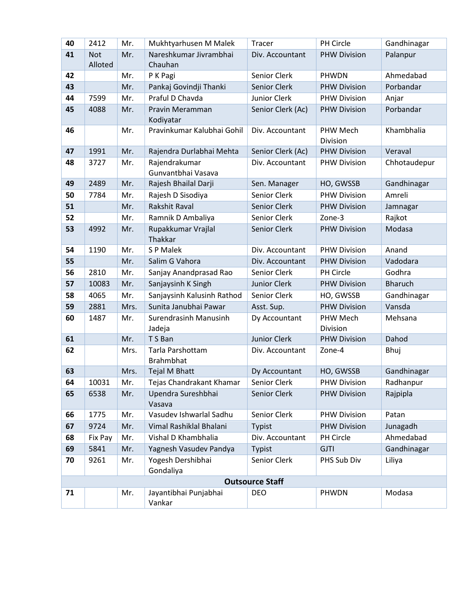| 40                     | 2412       | Mr.  | Mukhtyarhusen M Malek                | <b>Tracer</b>       | PH Circle            | Gandhinagar    |  |
|------------------------|------------|------|--------------------------------------|---------------------|----------------------|----------------|--|
| 41                     | <b>Not</b> | Mr.  | Nareshkumar Jivrambhai               | Div. Accountant     | <b>PHW Division</b>  | Palanpur       |  |
|                        | Alloted    |      | Chauhan                              |                     |                      |                |  |
| 42                     |            | Mr.  | P K Pagi                             | Senior Clerk        | PHWDN                | Ahmedabad      |  |
| 43                     |            | Mr.  | Pankaj Govindji Thanki               | <b>Senior Clerk</b> | <b>PHW Division</b>  | Porbandar      |  |
| 44                     | 7599       | Mr.  | Praful D Chavda                      | Junior Clerk        | <b>PHW Division</b>  | Anjar          |  |
| 45                     | 4088       | Mr.  | Pravin Meramman<br>Kodiyatar         | Senior Clerk (Ac)   | <b>PHW Division</b>  | Porbandar      |  |
| 46                     |            | Mr.  | Pravinkumar Kalubhai Gohil           | Div. Accountant     | PHW Mech<br>Division | Khambhalia     |  |
| 47                     | 1991       | Mr.  | Rajendra Durlabhai Mehta             | Senior Clerk (Ac)   | <b>PHW Division</b>  | Veraval        |  |
| 48                     | 3727       | Mr.  | Rajendrakumar<br>Gunvantbhai Vasava  | Div. Accountant     | <b>PHW Division</b>  | Chhotaudepur   |  |
| 49                     | 2489       | Mr.  | Rajesh Bhailal Darji                 | Sen. Manager        | HO, GWSSB            | Gandhinagar    |  |
| 50                     | 7784       | Mr.  | Rajesh D Sisodiya                    | <b>Senior Clerk</b> | <b>PHW Division</b>  | Amreli         |  |
| 51                     |            | Mr.  | <b>Rakshit Raval</b>                 | Senior Clerk        | <b>PHW Division</b>  | Jamnagar       |  |
| 52                     |            | Mr.  | Ramnik D Ambaliya                    | Senior Clerk        | Zone-3               | Rajkot         |  |
| 53                     | 4992       | Mr.  | Rupakkumar Vrajlal<br>Thakkar        | Senior Clerk        | <b>PHW Division</b>  | Modasa         |  |
| 54                     | 1190       | Mr.  | S P Malek                            | Div. Accountant     | <b>PHW Division</b>  | Anand          |  |
| 55                     |            | Mr.  | Salim G Vahora                       | Div. Accountant     | <b>PHW Division</b>  | Vadodara       |  |
| 56                     | 2810       | Mr.  | Sanjay Anandprasad Rao               | Senior Clerk        | <b>PH Circle</b>     | Godhra         |  |
| 57                     | 10083      | Mr.  | Sanjaysinh K Singh                   | <b>Junior Clerk</b> | <b>PHW Division</b>  | <b>Bharuch</b> |  |
| 58                     | 4065       | Mr.  | Sanjaysinh Kalusinh Rathod           | Senior Clerk        | HO, GWSSB            | Gandhinagar    |  |
| 59                     | 2881       | Mrs. | Sunita Janubhai Pawar                | Asst. Sup.          | <b>PHW Division</b>  | Vansda         |  |
| 60                     | 1487       | Mr.  | Surendrasinh Manusinh<br>Jadeja      | Dy Accountant       | PHW Mech<br>Division | Mehsana        |  |
| 61                     |            | Mr.  | T S Ban                              | <b>Junior Clerk</b> | <b>PHW Division</b>  | Dahod          |  |
| 62                     |            | Mrs. | Tarla Parshottam<br><b>Brahmbhat</b> | Div. Accountant     | Zone-4               | Bhuj           |  |
| 63                     |            | Mrs. | <b>Tejal M Bhatt</b>                 | Dy Accountant       | HO, GWSSB            | Gandhinagar    |  |
| 64                     | 10031      | Mr.  | Tejas Chandrakant Khamar             | Senior Clerk        | <b>PHW Division</b>  | Radhanpur      |  |
| 65                     | 6538       | Mr.  | Upendra Sureshbhai<br>Vasava         | <b>Senior Clerk</b> | <b>PHW Division</b>  | Rajpipla       |  |
| 66                     | 1775       | Mr.  | Vasudev Ishwarlal Sadhu              | Senior Clerk        | <b>PHW Division</b>  | Patan          |  |
| 67                     | 9724       | Mr.  | Vimal Rashiklal Bhalani              | Typist              | <b>PHW Division</b>  | Junagadh       |  |
| 68                     | Fix Pay    | Mr.  | Vishal D Khambhalia                  | Div. Accountant     | PH Circle            | Ahmedabad      |  |
| 69                     | 5841       | Mr.  | Yagnesh Vasudev Pandya               | <b>Typist</b>       | <b>GJTI</b>          | Gandhinagar    |  |
| 70                     | 9261       | Mr.  | Yogesh Dershibhai<br>Gondaliya       | Senior Clerk        | PHS Sub Div          | Liliya         |  |
| <b>Outsource Staff</b> |            |      |                                      |                     |                      |                |  |
| 71                     |            | Mr.  | Jayantibhai Punjabhai<br>Vankar      | <b>DEO</b>          | PHWDN                | Modasa         |  |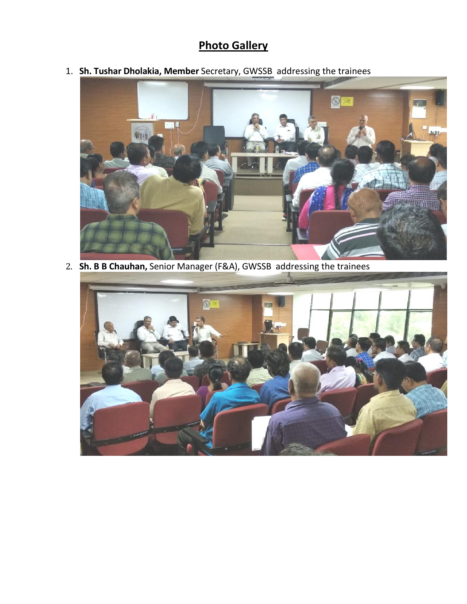#### **Photo Gallery**

1. **Sh. Tushar Dholakia, Member** Secretary, GWSSB addressing the trainees



2. **Sh. B B Chauhan,** Senior Manager (F&A), GWSSB addressing the trainees